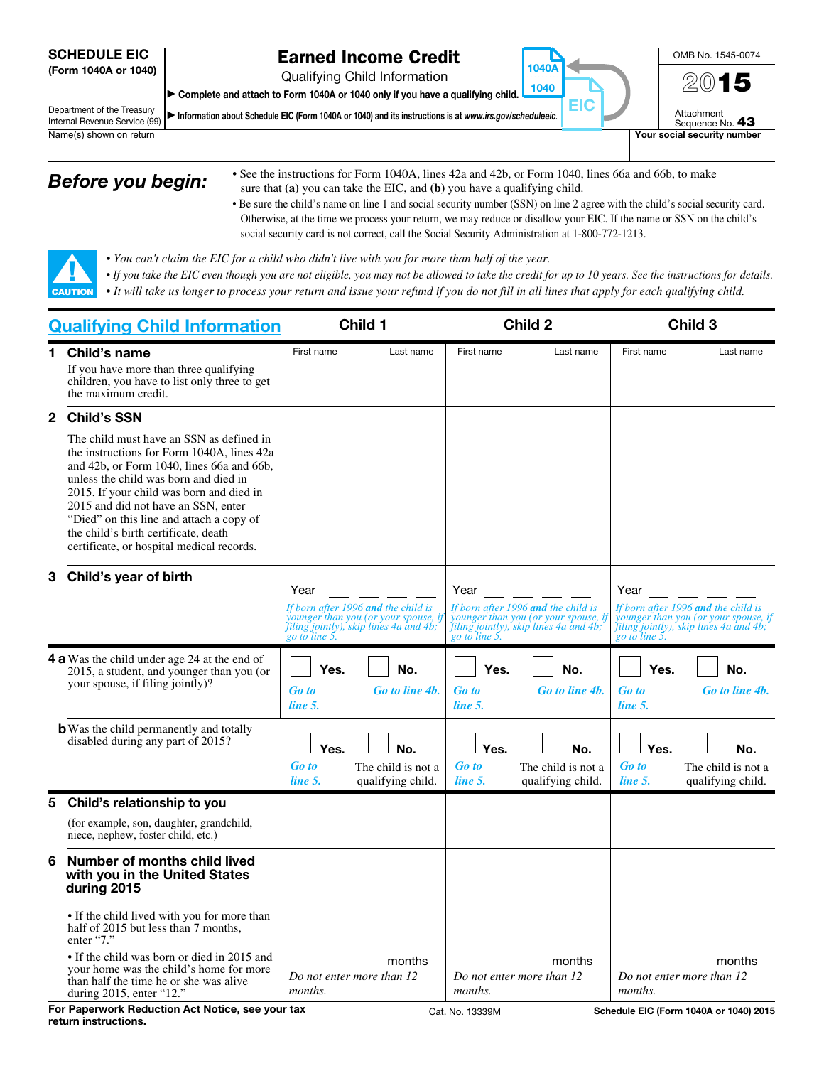#### SCHEDULE EIC (Form 1040A or 1040)

▲! CAUTION

## Earned Income Credit

Qualifying Child Information

▶ Complete and attach to Form 1040A or 1040 only if you have a qualifying child.

Department of the Treasury Internal Revenue Service (99) ▶ Information about Schedule EIC (Form 1040A or 1040) and its instructions is at *www.irs.gov/scheduleeic.*



Sequence No. 43 Name(s) shown on return **Your social security number** Your social security number

- **Before you begin:** See the instructions for Form 1040A, lines 42a and 42b, or Form 1040, lines 66a and 66b, to make sure that **(a)** you can take the EIC, and **(b)** you have a qualifying child.
	- Be sure the child's name on line 1 and social security number (SSN) on line 2 agree with the child's social security card. Otherwise, at the time we process your return, we may reduce or disallow your EIC. If the name or SSN on the child's social security card is not correct, call the Social Security Administration at 1-800-772-1213.

1040A . . . . . . . . . . 1040

EIC

- *You can't claim the EIC for a child who didn't live with you for more than half of the year.*
- *If you take the EIC even though you are not eligible, you may not be allowed to take the credit for up to 10 years. See the instructions for details.*
- *It will take us longer to process your return and issue your refund if you do not fill in all lines that apply for each qualifying child.*

| <b>Qualifying Child Information</b> |                                                                                                                                                                                                                                                                                                                                                                                                  | Child 1                                        |                                                                                                                       | Child 2                                        |                                                                                                                      | Child 3                                        |                                                                                                                       |
|-------------------------------------|--------------------------------------------------------------------------------------------------------------------------------------------------------------------------------------------------------------------------------------------------------------------------------------------------------------------------------------------------------------------------------------------------|------------------------------------------------|-----------------------------------------------------------------------------------------------------------------------|------------------------------------------------|----------------------------------------------------------------------------------------------------------------------|------------------------------------------------|-----------------------------------------------------------------------------------------------------------------------|
|                                     | 1 Child's name<br>If you have more than three qualifying<br>children, you have to list only three to get<br>the maximum credit.                                                                                                                                                                                                                                                                  | First name                                     | Last name                                                                                                             | First name                                     | Last name                                                                                                            | First name                                     | Last name                                                                                                             |
| $\mathbf{2}$                        | <b>Child's SSN</b>                                                                                                                                                                                                                                                                                                                                                                               |                                                |                                                                                                                       |                                                |                                                                                                                      |                                                |                                                                                                                       |
|                                     | The child must have an SSN as defined in<br>the instructions for Form 1040A, lines 42a<br>and 42b, or Form 1040, lines 66a and 66b,<br>unless the child was born and died in<br>2015. If your child was born and died in<br>2015 and did not have an SSN, enter<br>"Died" on this line and attach a copy of<br>the child's birth certificate, death<br>certificate, or hospital medical records. |                                                |                                                                                                                       |                                                |                                                                                                                      |                                                |                                                                                                                       |
| 3                                   | Child's year of birth                                                                                                                                                                                                                                                                                                                                                                            |                                                |                                                                                                                       |                                                |                                                                                                                      |                                                |                                                                                                                       |
|                                     |                                                                                                                                                                                                                                                                                                                                                                                                  | Year<br>go to line 5.                          | If born after 1996 and the child is<br>younger than you (or your spouse, ij<br>filing jointly), skip lines 4a and 4b; | Year<br>go to line 5.                          | If born after 1996 and the child is<br>younger than you (or your spouse, i<br>filing jointly), skip lines 4a and 4b; | Year<br>go to line 5.                          | If born after 1996 and the child is<br>younger than you (or your spouse, if<br>filing jointly), skip lines 4a and 4b; |
|                                     | <b>4 a</b> Was the child under age 24 at the end of<br>2015, a student, and younger than you (or<br>your spouse, if filing jointly)?                                                                                                                                                                                                                                                             | Yes.<br>Go to<br>line 5.                       | No.<br>Go to line 4b.                                                                                                 | Yes.<br><b>Go</b> to<br>line 5.                | No.<br>Go to line 4b.                                                                                                | Yes.<br><b>Go</b> to<br>line 5.                | No.<br>Go to line 4b.                                                                                                 |
|                                     | <b>b</b> Was the child permanently and totally<br>disabled during any part of 2015?                                                                                                                                                                                                                                                                                                              | Yes.<br><b>Go</b> to<br>line 5.                | No.<br>The child is not a<br>qualifying child.                                                                        | Yes.<br><b>Go</b> to<br>line 5.                | No.<br>The child is not a<br>qualifying child.                                                                       | Yes.<br><b>Go to</b><br>line 5.                | No.<br>The child is not a<br>qualifying child.                                                                        |
| 5                                   | Child's relationship to you                                                                                                                                                                                                                                                                                                                                                                      |                                                |                                                                                                                       |                                                |                                                                                                                      |                                                |                                                                                                                       |
|                                     | (for example, son, daughter, grandchild,<br>niece, nephew, foster child, etc.)                                                                                                                                                                                                                                                                                                                   |                                                |                                                                                                                       |                                                |                                                                                                                      |                                                |                                                                                                                       |
| 6                                   | Number of months child lived<br>with you in the United States<br>during 2015                                                                                                                                                                                                                                                                                                                     |                                                |                                                                                                                       |                                                |                                                                                                                      |                                                |                                                                                                                       |
|                                     | • If the child lived with you for more than<br>half of 2015 but less than 7 months,<br>enter "7."                                                                                                                                                                                                                                                                                                |                                                |                                                                                                                       |                                                |                                                                                                                      |                                                |                                                                                                                       |
|                                     | • If the child was born or died in 2015 and<br>your home was the child's home for more<br>than half the time he or she was alive<br>during 2015, enter "12."                                                                                                                                                                                                                                     | months<br>Do not enter more than 12<br>months. |                                                                                                                       | months<br>Do not enter more than 12<br>months. |                                                                                                                      | months<br>Do not enter more than 12<br>months. |                                                                                                                       |